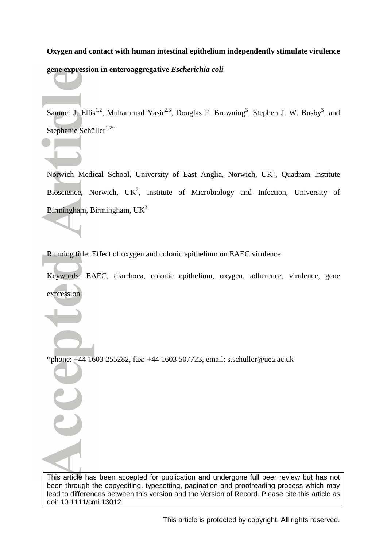# **Oxygen and contact with human intestinal epithelium independently stimulate virulence gene expression in enteroaggregative** *Escherichia coli*

Samuel J. Ellis<sup>1,2</sup>, Muhammad Yasir<sup>2,3</sup>, Douglas F. Browning<sup>3</sup>, Stephen J. W. Busby<sup>3</sup>, and Stephanie Schüller<sup>1,2\*</sup>

Norwich Medical School, University of East Anglia, Norwich,  $UK<sup>1</sup>$ , Quadram Institute Bioscience, Norwich,  $UK^2$ , Institute of Microbiology and Infection, University of Birmingham, Birmingham,  $UK<sup>3</sup>$ 

Running title: Effect of oxygen and colonic epithelium on EAEC virulence

Keywords: EAEC, diarrhoea, colonic epithelium, oxygen, adherence, virulence, gene expression

\*phone: +44 1603 255282, fax: +44 1603 507723, email: s.schuller@uea.ac.uk

This article has been accepted for publication and undergone full peer review but has not been through the copyediting, typesetting, pagination and proofreading process which may lead to differences between this version and the Version of Record. Please cite this article as doi: 10.1111/cmi.13012

This article is protected by copyright. All rights reserved.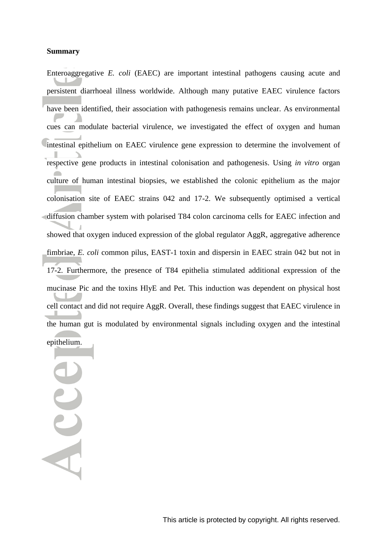#### **Summary**

Enteroaggregative *E. coli* (EAEC) are important intestinal pathogens causing acute and persistent diarrhoeal illness worldwide. Although many putative EAEC virulence factors have been identified, their association with pathogenesis remains unclear. As environmental cues can modulate bacterial virulence, we investigated the effect of oxygen and human intestinal epithelium on EAEC virulence gene expression to determine the involvement of respective gene products in intestinal colonisation and pathogenesis. Using *in vitro* organ culture of human intestinal biopsies, we established the colonic epithelium as the major colonisation site of EAEC strains 042 and 17-2. We subsequently optimised a vertical diffusion chamber system with polarised T84 colon carcinoma cells for EAEC infection and showed that oxygen induced expression of the global regulator AggR, aggregative adherence fimbriae, *E. coli* common pilus, EAST-1 toxin and dispersin in EAEC strain 042 but not in 17-2. Furthermore, the presence of T84 epithelia stimulated additional expression of the mucinase Pic and the toxins HlyE and Pet. This induction was dependent on physical host cell contact and did not require AggR. Overall, these findings suggest that EAEC virulence in the human gut is modulated by environmental signals including oxygen and the intestinal epithelium.

Acce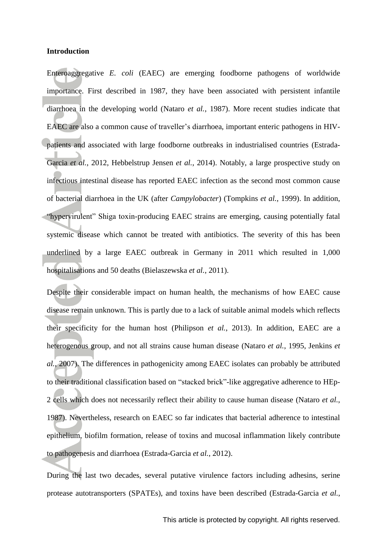#### **Introduction**

Enteroaggregative *E. coli* (EAEC) are emerging foodborne pathogens of worldwide importance. First described in 1987, they have been associated with persistent infantile diarrhoea in the developing world (Nataro *et al.*, 1987). More recent studies indicate that EAEC are also a common cause of traveller's diarrhoea, important enteric pathogens in HIVpatients and associated with large foodborne outbreaks in industrialised countries (Estrada-Garcia *et al.*, 2012, Hebbelstrup Jensen *et al.*, 2014). Notably, a large prospective study on infectious intestinal disease has reported EAEC infection as the second most common cause of bacterial diarrhoea in the UK (after *Campylobacter*) (Tompkins *et al.*, 1999). In addition, "hypervirulent" Shiga toxin-producing EAEC strains are emerging, causing potentially fatal systemic disease which cannot be treated with antibiotics. The severity of this has been underlined by a large EAEC outbreak in Germany in 2011 which resulted in 1,000 hospitalisations and 50 deaths (Bielaszewska *et al.*, 2011).

Despite their considerable impact on human health, the mechanisms of how EAEC cause disease remain unknown. This is partly due to a lack of suitable animal models which reflects their specificity for the human host (Philipson *et al.*, 2013). In addition, EAEC are a heterogenous group, and not all strains cause human disease (Nataro *et al.*, 1995, Jenkins *et al.*, 2007). The differences in pathogenicity among EAEC isolates can probably be attributed to their traditional classification based on "stacked brick"-like aggregative adherence to HEp-2 cells which does not necessarily reflect their ability to cause human disease (Nataro *et al.*, 1987). Nevertheless, research on EAEC so far indicates that bacterial adherence to intestinal epithelium, biofilm formation, release of toxins and mucosal inflammation likely contribute to pathogenesis and diarrhoea (Estrada-Garcia *et al.*, 2012).

During the last two decades, several putative virulence factors including adhesins, serine protease autotransporters (SPATEs), and toxins have been described (Estrada-Garcia *et al.*,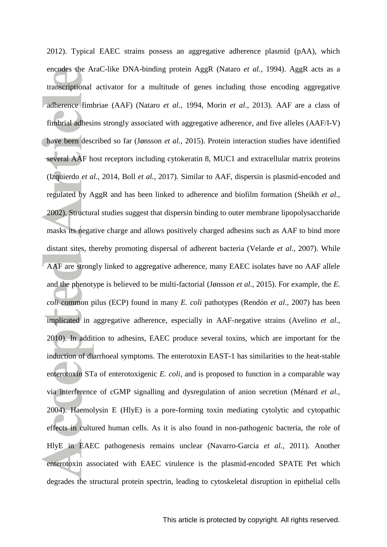2012). Typical EAEC strains possess an aggregative adherence plasmid (pAA), which encodes the AraC-like DNA-binding protein AggR (Nataro *et al.*, 1994). AggR acts as a transcriptional activator for a multitude of genes including those encoding aggregative adherence fimbriae (AAF) (Nataro *et al.*, 1994, Morin *et al.*, 2013). AAF are a class of fimbrial adhesins strongly associated with aggregative adherence, and five alleles (AAF/I-V) have been described so far (Jønsson *et al.*, 2015). Protein interaction studies have identified several AAF host receptors including cytokeratin 8, MUC1 and extracellular matrix proteins (Izquierdo *et al.*, 2014, Boll *et al.*, 2017). Similar to AAF, dispersin is plasmid-encoded and regulated by AggR and has been linked to adherence and biofilm formation (Sheikh *et al.*, 2002). Structural studies suggest that dispersin binding to outer membrane lipopolysaccharide masks its negative charge and allows positively charged adhesins such as AAF to bind more distant sites, thereby promoting dispersal of adherent bacteria (Velarde *et al.*, 2007). While AAF are strongly linked to aggregative adherence, many EAEC isolates have no AAF allele and the phenotype is believed to be multi-factorial (Jønsson *et al.*, 2015). For example, the *E. coli* common pilus (ECP) found in many *E. coli* pathotypes (Rendón *et al.*, 2007) has been implicated in aggregative adherence, especially in AAF-negative strains (Avelino *et al.*, 2010). In addition to adhesins, EAEC produce several toxins, which are important for the induction of diarrhoeal symptoms. The enterotoxin EAST-1 has similarities to the heat-stable enterotoxin STa of enterotoxigenic *E. coli*, and is proposed to function in a comparable way via interference of cGMP signalling and dysregulation of anion secretion (Ménard *et al.*, 2004). Haemolysin E (HlyE) is a pore-forming toxin mediating cytolytic and cytopathic effects in cultured human cells. As it is also found in non-pathogenic bacteria, the role of HlyE in EAEC pathogenesis remains unclear (Navarro-Garcia *et al.*, 2011). Another enterotoxin associated with EAEC virulence is the plasmid-encoded SPATE Pet which degrades the structural protein spectrin, leading to cytoskeletal disruption in epithelial cells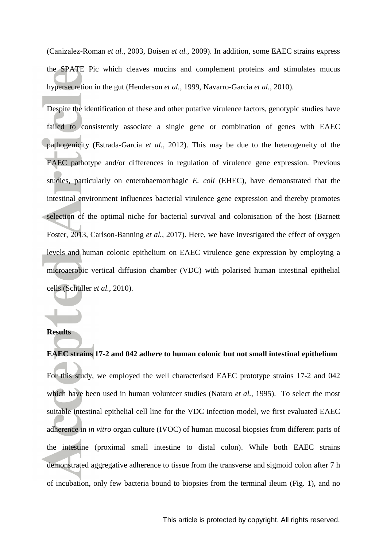(Canizalez-Roman *et al.*, 2003, Boisen *et al.*, 2009). In addition, some EAEC strains express the SPATE Pic which cleaves mucins and complement proteins and stimulates mucus hypersecretion in the gut (Henderson *et al.*, 1999, Navarro-Garcia *et al.*, 2010).

Despite the identification of these and other putative virulence factors, genotypic studies have failed to consistently associate a single gene or combination of genes with EAEC pathogenicity (Estrada-Garcia *et al.*, 2012). This may be due to the heterogeneity of the EAEC pathotype and/or differences in regulation of virulence gene expression. Previous studies, particularly on enterohaemorrhagic *E. coli* (EHEC), have demonstrated that the intestinal environment influences bacterial virulence gene expression and thereby promotes selection of the optimal niche for bacterial survival and colonisation of the host (Barnett Foster, 2013, Carlson-Banning *et al.*, 2017). Here, we have investigated the effect of oxygen levels and human colonic epithelium on EAEC virulence gene expression by employing a microaerobic vertical diffusion chamber (VDC) with polarised human intestinal epithelial cells (Schüller *et al.*, 2010).

#### **Results**

**EAEC strains 17-2 and 042 adhere to human colonic but not small intestinal epithelium** For this study, we employed the well characterised EAEC prototype strains 17-2 and 042 which have been used in human volunteer studies (Nataro *et al.*, 1995). To select the most suitable intestinal epithelial cell line for the VDC infection model, we first evaluated EAEC adherence in *in vitro* organ culture (IVOC) of human mucosal biopsies from different parts of the intestine (proximal small intestine to distal colon). While both EAEC strains demonstrated aggregative adherence to tissue from the transverse and sigmoid colon after 7 h of incubation, only few bacteria bound to biopsies from the terminal ileum (Fig. 1), and no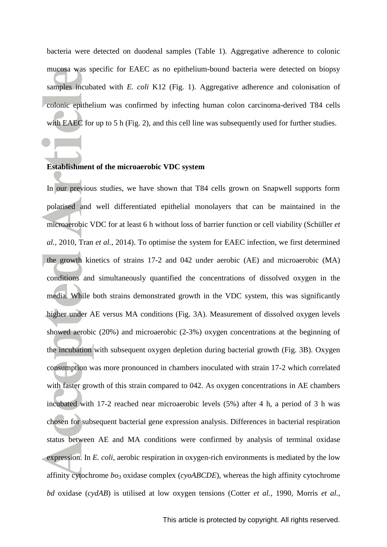bacteria were detected on duodenal samples (Table 1). Aggregative adherence to colonic mucosa was specific for EAEC as no epithelium-bound bacteria were detected on biopsy samples incubated with *E. coli* K12 (Fig. 1). Aggregative adherence and colonisation of colonic epithelium was confirmed by infecting human colon carcinoma-derived T84 cells with EAEC for up to 5 h (Fig. 2), and this cell line was subsequently used for further studies.

## **Establishment of the microaerobic VDC system**

In our previous studies, we have shown that T84 cells grown on Snapwell supports form polarised and well differentiated epithelial monolayers that can be maintained in the microaerobic VDC for at least 6 h without loss of barrier function or cell viability (Schüller *et al.*, 2010, Tran *et al.*, 2014). To optimise the system for EAEC infection, we first determined the growth kinetics of strains 17-2 and 042 under aerobic (AE) and microaerobic (MA) conditions and simultaneously quantified the concentrations of dissolved oxygen in the media. While both strains demonstrated growth in the VDC system, this was significantly higher under AE versus MA conditions (Fig. 3A). Measurement of dissolved oxygen levels showed aerobic (20%) and microaerobic (2-3%) oxygen concentrations at the beginning of the incubation with subsequent oxygen depletion during bacterial growth (Fig. 3B). Oxygen consumption was more pronounced in chambers inoculated with strain 17-2 which correlated with faster growth of this strain compared to 042. As oxygen concentrations in AE chambers incubated with 17-2 reached near microaerobic levels (5%) after 4 h, a period of 3 h was chosen for subsequent bacterial gene expression analysis. Differences in bacterial respiration status between AE and MA conditions were confirmed by analysis of terminal oxidase expression. In *E. coli*, aerobic respiration in oxygen-rich environments is mediated by the low affinity cytochrome *bo<sup>3</sup>* oxidase complex (*cyoABCDE*), whereas the high affinity cytochrome *bd* oxidase (*cydAB*) is utilised at low oxygen tensions (Cotter *et al.*, 1990, Morris *et al.*,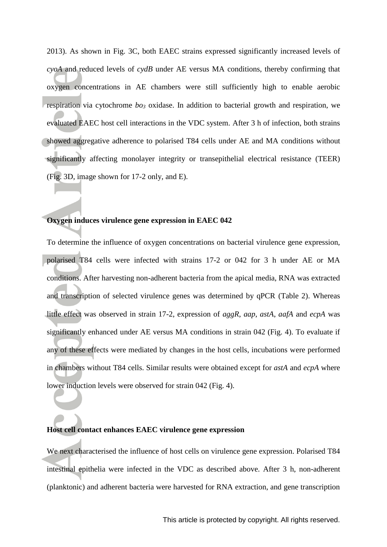2013). As shown in Fig. 3C, both EAEC strains expressed significantly increased levels of *cyoA* and reduced levels of *cydB* under AE versus MA conditions, thereby confirming that oxygen concentrations in AE chambers were still sufficiently high to enable aerobic respiration via cytochrome *bo<sup>3</sup>* oxidase. In addition to bacterial growth and respiration, we evaluated EAEC host cell interactions in the VDC system. After 3 h of infection, both strains showed aggregative adherence to polarised T84 cells under AE and MA conditions without significantly affecting monolayer integrity or transepithelial electrical resistance (TEER) (Fig. 3D, image shown for 17-2 only, and E).

#### **Oxygen induces virulence gene expression in EAEC 042**

To determine the influence of oxygen concentrations on bacterial virulence gene expression, polarised T84 cells were infected with strains 17-2 or 042 for 3 h under AE or MA conditions. After harvesting non-adherent bacteria from the apical media, RNA was extracted and transcription of selected virulence genes was determined by qPCR (Table 2). Whereas little effect was observed in strain 17-2, expression of *aggR*, *aap*, *astA*, *aafA* and *ecpA* was significantly enhanced under AE versus MA conditions in strain 042 (Fig. 4). To evaluate if any of these effects were mediated by changes in the host cells, incubations were performed in chambers without T84 cells. Similar results were obtained except for *astA* and *ecpA* where lower induction levels were observed for strain 042 (Fig. 4).

### **Host cell contact enhances EAEC virulence gene expression**

We next characterised the influence of host cells on virulence gene expression. Polarised T84 intestinal epithelia were infected in the VDC as described above. After 3 h, non-adherent (planktonic) and adherent bacteria were harvested for RNA extraction, and gene transcription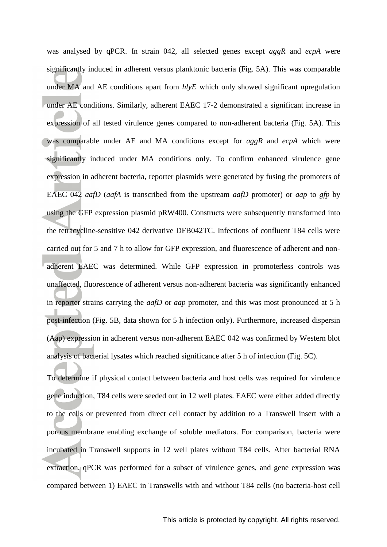was analysed by qPCR. In strain 042, all selected genes except *aggR* and *ecpA* were significantly induced in adherent versus planktonic bacteria (Fig. 5A). This was comparable under MA and AE conditions apart from  $h/vE$  which only showed significant upregulation under AE conditions. Similarly, adherent EAEC 17-2 demonstrated a significant increase in expression of all tested virulence genes compared to non-adherent bacteria (Fig. 5A). This was comparable under AE and MA conditions except for *aggR* and *ecpA* which were significantly induced under MA conditions only. To confirm enhanced virulence gene expression in adherent bacteria, reporter plasmids were generated by fusing the promoters of EAEC 042 *aafD* (*aafA* is transcribed from the upstream *aafD* promoter) or *aap* to *gfp* by using the GFP expression plasmid pRW400. Constructs were subsequently transformed into the tetracycline-sensitive 042 derivative DFB042TC. Infections of confluent T84 cells were carried out for 5 and 7 h to allow for GFP expression, and fluorescence of adherent and nonadherent EAEC was determined. While GFP expression in promoterless controls was unaffected, fluorescence of adherent versus non-adherent bacteria was significantly enhanced in reporter strains carrying the *aafD* or *aap* promoter, and this was most pronounced at 5 h post-infection (Fig. 5B, data shown for 5 h infection only). Furthermore, increased dispersin (Aap) expression in adherent versus non-adherent EAEC 042 was confirmed by Western blot analysis of bacterial lysates which reached significance after 5 h of infection (Fig. 5C).

To determine if physical contact between bacteria and host cells was required for virulence gene induction, T84 cells were seeded out in 12 well plates. EAEC were either added directly to the cells or prevented from direct cell contact by addition to a Transwell insert with a porous membrane enabling exchange of soluble mediators. For comparison, bacteria were incubated in Transwell supports in 12 well plates without T84 cells. After bacterial RNA extraction, qPCR was performed for a subset of virulence genes, and gene expression was compared between 1) EAEC in Transwells with and without T84 cells (no bacteria-host cell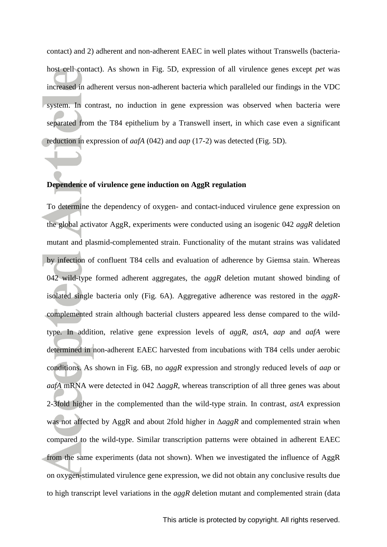contact) and 2) adherent and non-adherent EAEC in well plates without Transwells (bacteriahost cell contact). As shown in Fig. 5D, expression of all virulence genes except *pet* was increased in adherent versus non-adherent bacteria which paralleled our findings in the VDC system. In contrast, no induction in gene expression was observed when bacteria were separated from the T84 epithelium by a Transwell insert, in which case even a significant reduction in expression of *aafA* (042) and *aap* (17-2) was detected (Fig. 5D).

## **Dependence of virulence gene induction on AggR regulation**

To determine the dependency of oxygen- and contact-induced virulence gene expression on the global activator AggR, experiments were conducted using an isogenic 042 *aggR* deletion mutant and plasmid-complemented strain. Functionality of the mutant strains was validated by infection of confluent T84 cells and evaluation of adherence by Giemsa stain. Whereas 042 wild-type formed adherent aggregates, the *aggR* deletion mutant showed binding of isolated single bacteria only (Fig. 6A). Aggregative adherence was restored in the *aggR*complemented strain although bacterial clusters appeared less dense compared to the wildtype. In addition, relative gene expression levels of *aggR*, *astA*, *aap* and *aafA* were determined in non-adherent EAEC harvested from incubations with T84 cells under aerobic conditions. As shown in Fig. 6B, no *aggR* expression and strongly reduced levels of *aap* or *aafA* mRNA were detected in 042 Δ*aggR*, whereas transcription of all three genes was about 2-3fold higher in the complemented than the wild-type strain. In contrast, *astA* expression was not affected by AggR and about 2fold higher in Δ*aggR* and complemented strain when compared to the wild-type. Similar transcription patterns were obtained in adherent EAEC from the same experiments (data not shown). When we investigated the influence of AggR on oxygen-stimulated virulence gene expression, we did not obtain any conclusive results due to high transcript level variations in the *aggR* deletion mutant and complemented strain (data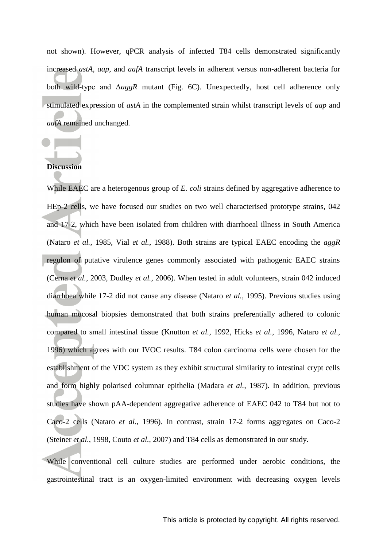not shown). However, qPCR analysis of infected T84 cells demonstrated significantly increased *astA*, *aap*, and *aafA* transcript levels in adherent versus non-adherent bacteria for both wild-type and Δ*aggR* mutant (Fig. 6C). Unexpectedly, host cell adherence only stimulated expression of *astA* in the complemented strain whilst transcript levels of *aap* and *aafA* remained unchanged.

# **Discussion**

While EAEC are a heterogenous group of *E. coli* strains defined by aggregative adherence to HEp-2 cells, we have focused our studies on two well characterised prototype strains, 042 and 17-2, which have been isolated from children with diarrhoeal illness in South America (Nataro *et al.*, 1985, Vial *et al.*, 1988). Both strains are typical EAEC encoding the *aggR* regulon of putative virulence genes commonly associated with pathogenic EAEC strains (Cerna *et al.*, 2003, Dudley *et al.*, 2006). When tested in adult volunteers, strain 042 induced diarrhoea while 17-2 did not cause any disease (Nataro *et al.*, 1995). Previous studies using human mucosal biopsies demonstrated that both strains preferentially adhered to colonic compared to small intestinal tissue (Knutton *et al.*, 1992, Hicks *et al.*, 1996, Nataro *et al.*, 1996) which agrees with our IVOC results. T84 colon carcinoma cells were chosen for the establishment of the VDC system as they exhibit structural similarity to intestinal crypt cells and form highly polarised columnar epithelia (Madara *et al.*, 1987). In addition, previous studies have shown pAA-dependent aggregative adherence of EAEC 042 to T84 but not to Caco-2 cells (Nataro *et al.*, 1996). In contrast, strain 17-2 forms aggregates on Caco-2 (Steiner *et al.*, 1998, Couto *et al.*, 2007) and T84 cells as demonstrated in our study.

While conventional cell culture studies are performed under aerobic conditions, the gastrointestinal tract is an oxygen-limited environment with decreasing oxygen levels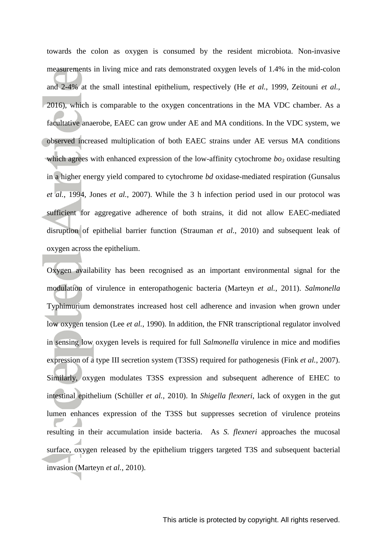towards the colon as oxygen is consumed by the resident microbiota. Non-invasive measurements in living mice and rats demonstrated oxygen levels of 1.4% in the mid-colon and 2-4% at the small intestinal epithelium, respectively (He *et al.*, 1999, Zeitouni *et al.*, 2016), which is comparable to the oxygen concentrations in the MA VDC chamber. As a facultative anaerobe, EAEC can grow under AE and MA conditions. In the VDC system, we observed increased multiplication of both EAEC strains under AE versus MA conditions which agrees with enhanced expression of the low-affinity cytochrome  $b\sigma_3$  oxidase resulting in a higher energy yield compared to cytochrome *bd* oxidase-mediated respiration (Gunsalus *et al.*, 1994, Jones *et al.*, 2007). While the 3 h infection period used in our protocol was sufficient for aggregative adherence of both strains, it did not allow EAEC-mediated disruption of epithelial barrier function (Strauman *et al.*, 2010) and subsequent leak of oxygen across the epithelium.

Oxygen availability has been recognised as an important environmental signal for the modulation of virulence in enteropathogenic bacteria (Marteyn *et al.*, 2011). *Salmonella*  Typhimurium demonstrates increased host cell adherence and invasion when grown under low oxygen tension (Lee *et al.*, 1990). In addition, the FNR transcriptional regulator involved in sensing low oxygen levels is required for full *Salmonella* virulence in mice and modifies expression of a type III secretion system (T3SS) required for pathogenesis (Fink *et al.*, 2007). Similarly, oxygen modulates T3SS expression and subsequent adherence of EHEC to intestinal epithelium (Schüller *et al.*, 2010). In *Shigella flexneri*, lack of oxygen in the gut lumen enhances expression of the T3SS but suppresses secretion of virulence proteins resulting in their accumulation inside bacteria. As *S. flexneri* approaches the mucosal surface, oxygen released by the epithelium triggers targeted T3S and subsequent bacterial invasion (Marteyn *et al.*, 2010).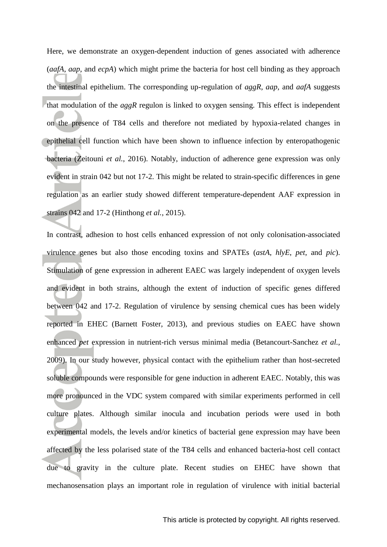Here, we demonstrate an oxygen-dependent induction of genes associated with adherence (*aafA*, *aap*, and *ecpA*) which might prime the bacteria for host cell binding as they approach the intestinal epithelium. The corresponding up-regulation of *aggR*, *aap*, and *aafA* suggests that modulation of the *aggR* regulon is linked to oxygen sensing. This effect is independent on the presence of T84 cells and therefore not mediated by hypoxia-related changes in epithelial cell function which have been shown to influence infection by enteropathogenic bacteria (Zeitouni *et al.*, 2016). Notably, induction of adherence gene expression was only evident in strain 042 but not 17-2. This might be related to strain-specific differences in gene regulation as an earlier study showed different temperature-dependent AAF expression in strains 042 and 17-2 (Hinthong *et al.*, 2015).

In contrast, adhesion to host cells enhanced expression of not only colonisation-associated virulence genes but also those encoding toxins and SPATEs (*astA*, *hlyE*, *pet*, and *pic*). Stimulation of gene expression in adherent EAEC was largely independent of oxygen levels and evident in both strains, although the extent of induction of specific genes differed between 042 and 17-2. Regulation of virulence by sensing chemical cues has been widely reported in EHEC (Barnett Foster, 2013), and previous studies on EAEC have shown enhanced *pet* expression in nutrient-rich versus minimal media (Betancourt-Sanchez *et al.*, 2009). In our study however, physical contact with the epithelium rather than host-secreted soluble compounds were responsible for gene induction in adherent EAEC. Notably, this was more pronounced in the VDC system compared with similar experiments performed in cell culture plates. Although similar inocula and incubation periods were used in both experimental models, the levels and/or kinetics of bacterial gene expression may have been affected by the less polarised state of the T84 cells and enhanced bacteria-host cell contact due to gravity in the culture plate. Recent studies on EHEC have shown that mechanosensation plays an important role in regulation of virulence with initial bacterial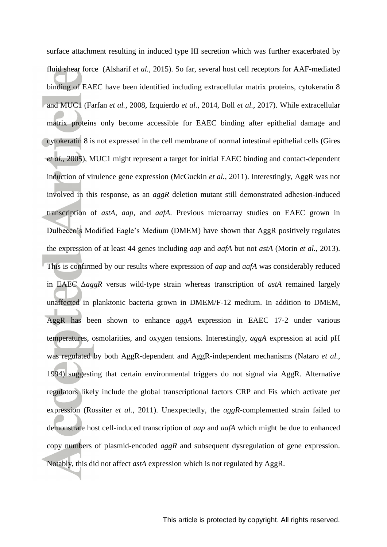surface attachment resulting in induced type III secretion which was further exacerbated by fluid shear force (Alsharif *et al.*, 2015). So far, several host cell receptors for AAF-mediated binding of EAEC have been identified including extracellular matrix proteins, cytokeratin 8 and MUC1 (Farfan *et al.*, 2008, Izquierdo *et al.*, 2014, Boll *et al.*, 2017). While extracellular matrix proteins only become accessible for EAEC binding after epithelial damage and cytokeratin 8 is not expressed in the cell membrane of normal intestinal epithelial cells (Gires *et al.*, 2005), MUC1 might represent a target for initial EAEC binding and contact-dependent induction of virulence gene expression (McGuckin *et al.*, 2011). Interestingly, AggR was not involved in this response, as an *aggR* deletion mutant still demonstrated adhesion-induced transcription of *astA*, *aap*, and *aafA*. Previous microarray studies on EAEC grown in Dulbecco's Modified Eagle's Medium (DMEM) have shown that AggR positively regulates the expression of at least 44 genes including *aap* and *aafA* but not *astA* (Morin *et al.*, 2013). This is confirmed by our results where expression of *aap* and *aafA* was considerably reduced in EAEC Δ*aggR* versus wild-type strain whereas transcription of *astA* remained largely unaffected in planktonic bacteria grown in DMEM/F-12 medium. In addition to DMEM, AggR has been shown to enhance *aggA* expression in EAEC 17-2 under various temperatures, osmolarities, and oxygen tensions. Interestingly, *aggA* expression at acid pH was regulated by both AggR-dependent and AggR-independent mechanisms (Nataro *et al.*, 1994) suggesting that certain environmental triggers do not signal via AggR. Alternative regulators likely include the global transcriptional factors CRP and Fis which activate *pet* expression (Rossiter *et al.*, 2011). Unexpectedly, the *aggR*-complemented strain failed to demonstrate host cell-induced transcription of *aap* and *aafA* which might be due to enhanced copy numbers of plasmid-encoded *aggR* and subsequent dysregulation of gene expression. Notably, this did not affect *astA* expression which is not regulated by AggR.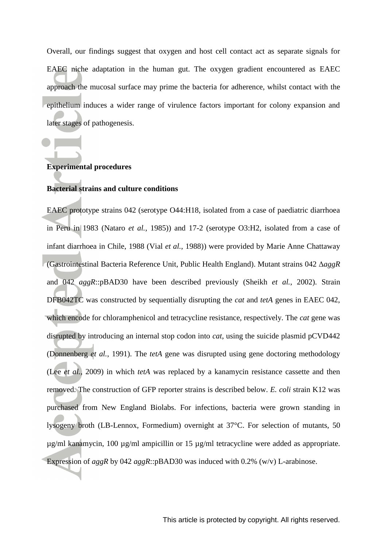Overall, our findings suggest that oxygen and host cell contact act as separate signals for EAEC niche adaptation in the human gut. The oxygen gradient encountered as EAEC approach the mucosal surface may prime the bacteria for adherence, whilst contact with the epithelium induces a wider range of virulence factors important for colony expansion and later stages of pathogenesis.

## **Experimental procedures**

## **Bacterial strains and culture conditions**

EAEC prototype strains 042 (serotype O44:H18, isolated from a case of paediatric diarrhoea in Peru in 1983 (Nataro *et al.*, 1985)) and 17-2 (serotype O3:H2, isolated from a case of infant diarrhoea in Chile, 1988 (Vial *et al.*, 1988)) were provided by Marie Anne Chattaway (Gastrointestinal Bacteria Reference Unit, Public Health England). Mutant strains 042 Δ*aggR* and 042 *aggR*::pBAD30 have been described previously (Sheikh *et al.*, 2002). Strain DFB042TC was constructed by sequentially disrupting the *cat* and *tetA* genes in EAEC 042, which encode for chloramphenicol and tetracycline resistance, respectively. The *cat* gene was disrupted by introducing an internal stop codon into *cat*, using the suicide plasmid pCVD442 (Donnenberg *et al.*, 1991). The *tetA* gene was disrupted using gene doctoring methodology (Lee *et al.*, 2009) in which *tetA* was replaced by a kanamycin resistance cassette and then removed. The construction of GFP reporter strains is described below. *E. coli* strain K12 was purchased from New England Biolabs. For infections, bacteria were grown standing in lysogeny broth (LB-Lennox, Formedium) overnight at 37°C. For selection of mutants, 50 µg/ml kanamycin, 100 µg/ml ampicillin or 15 µg/ml tetracycline were added as appropriate. Expression of *aggR* by 042 *aggR*::pBAD30 was induced with 0.2% (w/v) L-arabinose.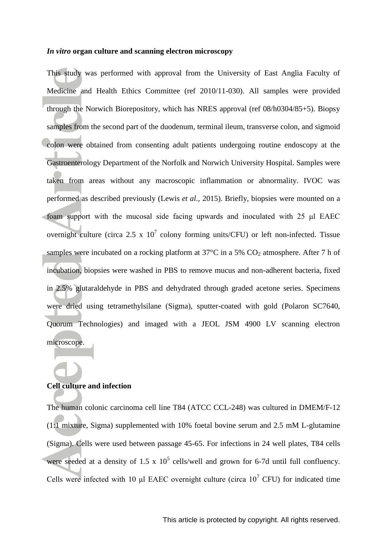#### *In vitro* **organ culture and scanning electron microscopy**

This study was performed with approval from the University of East Anglia Faculty of Medicine and Health Ethics Committee (ref 2010/11-030). All samples were provided through the Norwich Biorepository, which has NRES approval (ref 08/h0304/85+5). Biopsy samples from the second part of the duodenum, terminal ileum, transverse colon, and sigmoid colon were obtained from consenting adult patients undergoing routine endoscopy at the Gastroenterology Department of the Norfolk and Norwich University Hospital. Samples were taken from areas without any macroscopic inflammation or abnormality. IVOC was performed as described previously (Lewis *et al.*, 2015). Briefly, biopsies were mounted on a foam support with the mucosal side facing upwards and inoculated with 25 μl EAEC overnight culture (circa 2.5 x  $10^7$  colony forming units/CFU) or left non-infected. Tissue samples were incubated on a rocking platform at  $37^{\circ}$ C in a 5% CO<sub>2</sub> atmosphere. After 7 h of incubation, biopsies were washed in PBS to remove mucus and non-adherent bacteria, fixed in 2.5% glutaraldehyde in PBS and dehydrated through graded acetone series. Specimens were dried using tetramethylsilane (Sigma), sputter-coated with gold (Polaron SC7640, Quorum Technologies) and imaged with a JEOL JSM 4900 LV scanning electron microscope.

# **Cell culture and infection**

The human colonic carcinoma cell line T84 (ATCC CCL-248) was cultured in DMEM/F-12 (1:1 mixture, Sigma) supplemented with 10% foetal bovine serum and 2.5 mM L-glutamine (Sigma). Cells were used between passage 45-65. For infections in 24 well plates, T84 cells were seeded at a density of 1.5 x  $10^5$  cells/well and grown for 6-7d until full confluency. Cells were infected with 10 μl EAEC overnight culture (circa  $10^7$  CFU) for indicated time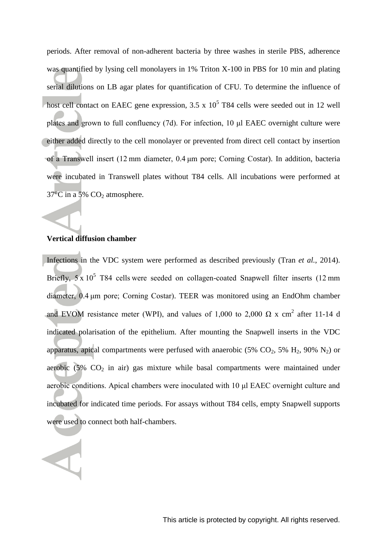periods. After removal of non-adherent bacteria by three washes in sterile PBS, adherence was quantified by lysing cell monolayers in 1% Triton X-100 in PBS for 10 min and plating serial dilutions on LB agar plates for quantification of CFU. To determine the influence of host cell contact on EAEC gene expression,  $3.5 \times 10^5$  T84 cells were seeded out in 12 well plates and grown to full confluency (7d). For infection, 10 μl EAEC overnight culture were either added directly to the cell monolayer or prevented from direct cell contact by insertion of a Transwell insert (12 mm diameter, 0.4 μm pore; Corning Costar). In addition, bacteria were incubated in Transwell plates without T84 cells. All incubations were performed at  $37^{\circ}$ C in a 5% CO<sub>2</sub> atmosphere.

## **Vertical diffusion chamber**

Infections in the VDC system were performed as described previously (Tran *et al.*, 2014). Briefly,  $5 \times 10^5$  T84 cells were seeded on collagen-coated Snapwell filter inserts (12 mm diameter, 0.4 μm pore; Corning Costar). TEER was monitored using an EndOhm chamber and EVOM resistance meter (WPI), and values of 1,000 to 2,000  $\Omega$  x cm<sup>2</sup> after 11-14 d indicated polarisation of the epithelium. After mounting the Snapwell inserts in the VDC apparatus, apical compartments were perfused with anaerobic (5%  $CO_2$ , 5%  $H_2$ , 90%  $N_2$ ) or aerobic  $(5\%$  CO<sub>2</sub> in air) gas mixture while basal compartments were maintained under aerobic conditions. Apical chambers were inoculated with 10 μl EAEC overnight culture and incubated for indicated time periods. For assays without T84 cells, empty Snapwell supports were used to connect both half-chambers.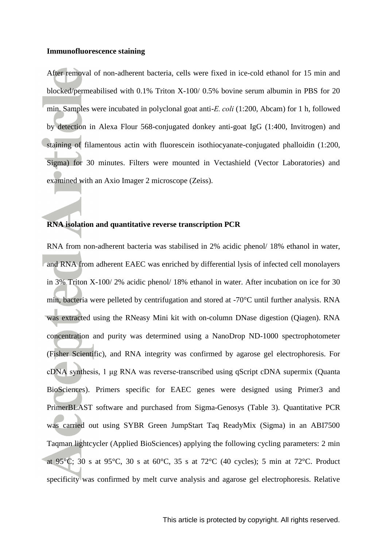#### **Immunofluorescence staining**

After removal of non-adherent bacteria, cells were fixed in ice-cold ethanol for 15 min and blocked/permeabilised with 0.1% Triton X-100/ 0.5% bovine serum albumin in PBS for 20 min. Samples were incubated in polyclonal goat anti-*E. coli* (1:200, Abcam) for 1 h, followed by detection in Alexa Flour 568-conjugated donkey anti-goat IgG (1:400, Invitrogen) and staining of filamentous actin with fluorescein isothiocyanate-conjugated phalloidin (1:200, Sigma) for 30 minutes. Filters were mounted in Vectashield (Vector Laboratories) and examined with an Axio Imager 2 microscope (Zeiss).

# **RNA isolation and quantitative reverse transcription PCR**

RNA from non-adherent bacteria was stabilised in 2% acidic phenol/ 18% ethanol in water, and RNA from adherent EAEC was enriched by differential lysis of infected cell monolayers in 3% Triton X-100/ 2% acidic phenol/ 18% ethanol in water. After incubation on ice for 30 min, bacteria were pelleted by centrifugation and stored at -70°C until further analysis. RNA was extracted using the RNeasy Mini kit with on-column DNase digestion (Qiagen). RNA concentration and purity was determined using a NanoDrop ND-1000 spectrophotometer (Fisher Scientific), and RNA integrity was confirmed by agarose gel electrophoresis. For cDNA synthesis, 1 μg RNA was reverse-transcribed using qScript cDNA supermix (Quanta BioSciences). Primers specific for EAEC genes were designed using Primer3 and PrimerBLAST software and purchased from Sigma-Genosys (Table 3). Quantitative PCR was carried out using SYBR Green JumpStart Taq ReadyMix (Sigma) in an ABI7500 Taqman lightcycler (Applied BioSciences) applying the following cycling parameters: 2 min at 95°C; 30 s at 95°C, 30 s at 60°C, 35 s at 72°C (40 cycles); 5 min at 72°C. Product specificity was confirmed by melt curve analysis and agarose gel electrophoresis. Relative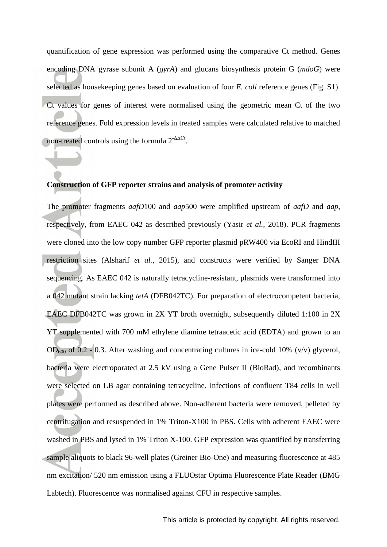quantification of gene expression was performed using the comparative Ct method. Genes encoding DNA gyrase subunit A (*gyrA*) and glucans biosynthesis protein G (*mdoG*) were selected as housekeeping genes based on evaluation of four *E. coli* reference genes (Fig. S1). Ct values for genes of interest were normalised using the geometric mean Ct of the two reference genes. Fold expression levels in treated samples were calculated relative to matched non-treated controls using the formula  $2^{\text{-}\Delta\Delta\text{C}t}$ .

## **Construction of GFP reporter strains and analysis of promoter activity**

The promoter fragments *aafD*100 and *aap*500 were amplified upstream of *aafD* and *aap*, respectively, from EAEC 042 as described previously (Yasir *et al.*, 2018). PCR fragments were cloned into the low copy number GFP reporter plasmid pRW400 via EcoRI and HindIII restriction sites (Alsharif *et al.*, 2015), and constructs were verified by Sanger DNA sequencing. As EAEC 042 is naturally tetracycline-resistant, plasmids were transformed into a 042 mutant strain lacking *tetA* (DFB042TC). For preparation of electrocompetent bacteria, EAEC DFB042TC was grown in 2X YT broth overnight, subsequently diluted 1:100 in 2X YT supplemented with 700 mM ethylene diamine tetraacetic acid (EDTA) and grown to an  $OD_{600}$  of 0.2 - 0.3. After washing and concentrating cultures in ice-cold 10% (v/v) glycerol, bacteria were electroporated at 2.5 kV using a Gene Pulser II (BioRad), and recombinants were selected on LB agar containing tetracycline. Infections of confluent T84 cells in well plates were performed as described above. Non-adherent bacteria were removed, pelleted by centrifugation and resuspended in 1% Triton-X100 in PBS. Cells with adherent EAEC were washed in PBS and lysed in 1% Triton X-100. GFP expression was quantified by transferring sample aliquots to black 96-well plates (Greiner Bio-One) and measuring fluorescence at 485 nm excitation/ 520 nm emission using a FLUOstar Optima Fluorescence Plate Reader (BMG Labtech). Fluorescence was normalised against CFU in respective samples.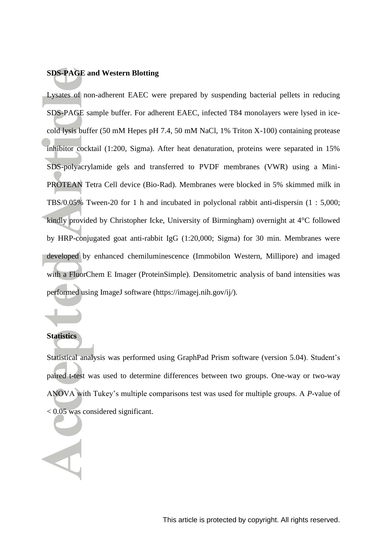# **SDS-PAGE and Western Blotting**

Lysates of non-adherent EAEC were prepared by suspending bacterial pellets in reducing SDS-PAGE sample buffer. For adherent EAEC, infected T84 monolayers were lysed in icecold lysis buffer (50 mM Hepes pH 7.4, 50 mM NaCl, 1% Triton X-100) containing protease inhibitor cocktail (1:200, Sigma). After heat denaturation, proteins were separated in 15% SDS-polyacrylamide gels and transferred to PVDF membranes (VWR) using a Mini-PROTEAN Tetra Cell device (Bio-Rad). Membranes were blocked in 5% skimmed milk in TBS/0.05% Tween-20 for 1 h and incubated in polyclonal rabbit anti-dispersin (1 : 5,000; kindly provided by Christopher Icke, University of Birmingham) overnight at 4°C followed by HRP-conjugated goat anti-rabbit IgG (1:20,000; Sigma) for 30 min. Membranes were developed by enhanced chemiluminescence (Immobilon Western, Millipore) and imaged with a FluorChem E Imager (ProteinSimple). Densitometric analysis of band intensities was performed using ImageJ software (https://imagej.nih.gov/ij/).

### **Statistics**

Statistical analysis was performed using GraphPad Prism software (version 5.04). Student's paired t-test was used to determine differences between two groups. One-way or two-way ANOVA with Tukey's multiple comparisons test was used for multiple groups. A *P*-value of < 0.05 was considered significant.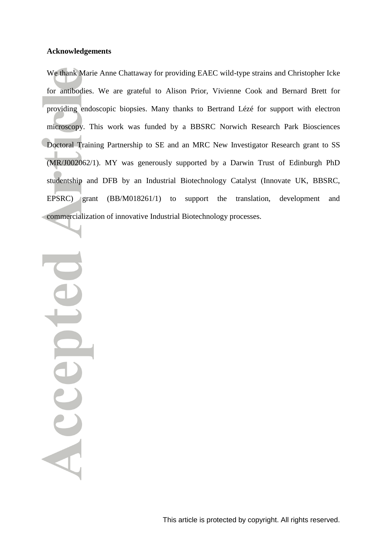#### **Acknowledgements**

We thank Marie Anne Chattaway for providing EAEC wild-type strains and Christopher Icke for antibodies. We are grateful to Alison Prior, Vivienne Cook and Bernard Brett for providing endoscopic biopsies. Many thanks to Bertrand Lézé for support with electron microscopy. This work was funded by a BBSRC Norwich Research Park Biosciences Doctoral Training Partnership to SE and an MRC New Investigator Research grant to SS (MR/J002062/1). MY was generously supported by a Darwin Trust of Edinburgh PhD studentship and DFB by an Industrial Biotechnology Catalyst (Innovate UK, BBSRC, EPSRC) grant (BB/M018261/1) to support the translation, development and commercialization of innovative Industrial Biotechnology processes.

Accepte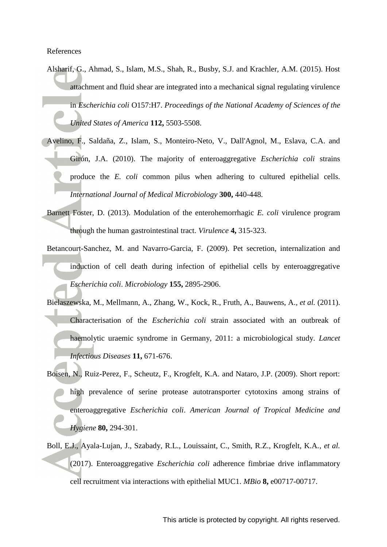References

- Alsharif, G., Ahmad, S., Islam, M.S., Shah, R., Busby, S.J. and Krachler, A.M. (2015). Host attachment and fluid shear are integrated into a mechanical signal regulating virulence in *Escherichia coli* O157:H7. *Proceedings of the National Academy of Sciences of the United States of America* **112,** 5503-5508.
- Avelino, F., Saldaña, Z., Islam, S., Monteiro-Neto, V., Dall'Agnol, M., Eslava, C.A. and Girón, J.A. (2010). The majority of enteroaggregative *Escherichia coli* strains produce the *E. coli* common pilus when adhering to cultured epithelial cells. *International Journal of Medical Microbiology* **300,** 440-448.
- Barnett Foster, D. (2013). Modulation of the enterohemorrhagic *E. coli* virulence program through the human gastrointestinal tract. *Virulence* **4,** 315-323.
- Betancourt-Sanchez, M. and Navarro-Garcia, F. (2009). Pet secretion, internalization and induction of cell death during infection of epithelial cells by enteroaggregative *Escherichia coli*. *Microbiology* **155,** 2895-2906.
- Bielaszewska, M., Mellmann, A., Zhang, W., Kock, R., Fruth, A., Bauwens, A.*, et al.* (2011). Characterisation of the *Escherichia coli* strain associated with an outbreak of haemolytic uraemic syndrome in Germany, 2011: a microbiological study. *Lancet Infectious Diseases* **11,** 671-676.
- Boisen, N., Ruiz-Perez, F., Scheutz, F., Krogfelt, K.A. and Nataro, J.P. (2009). Short report: high prevalence of serine protease autotransporter cytotoxins among strains of enteroaggregative *Escherichia coli*. *American Journal of Tropical Medicine and Hygiene* **80,** 294-301.
- Boll, E.J., Ayala-Lujan, J., Szabady, R.L., Louissaint, C., Smith, R.Z., Krogfelt, K.A.*, et al.* (2017). Enteroaggregative *Escherichia coli* adherence fimbriae drive inflammatory cell recruitment via interactions with epithelial MUC1. *MBio* **8,** e00717-00717.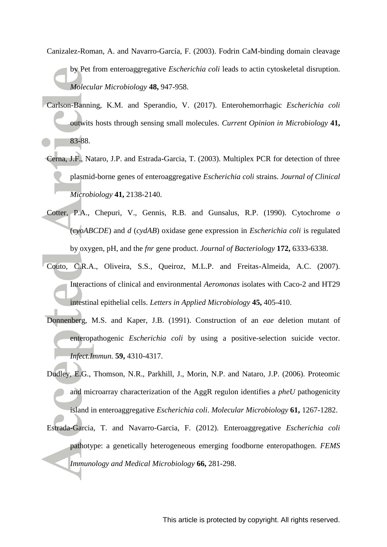- Canizalez-Roman, A. and Navarro-García, F. (2003). Fodrin CaM-binding domain cleavage by Pet from enteroaggregative *Escherichia coli* leads to actin cytoskeletal disruption. *Molecular Microbiology* **48,** 947-958.
- Carlson-Banning, K.M. and Sperandio, V. (2017). Enterohemorrhagic *Escherichia coli*  outwits hosts through sensing small molecules. *Current Opinion in Microbiology* **41,** 83-88.
- Cerna, J.F., Nataro, J.P. and Estrada-Garcia, T. (2003). Multiplex PCR for detection of three plasmid-borne genes of enteroaggregative *Escherichia coli* strains. *Journal of Clinical Microbiology* **41,** 2138-2140.
- Cotter, P.A., Chepuri, V., Gennis, R.B. and Gunsalus, R.P. (1990). Cytochrome *o* (*cyoABCDE*) and *d* (*cydAB*) oxidase gene expression in *Escherichia coli* is regulated by oxygen, pH, and the *fnr* gene product. *Journal of Bacteriology* **172,** 6333-6338.
- Couto, C.R.A., Oliveira, S.S., Queiroz, M.L.P. and Freitas-Almeida, A.C. (2007). Interactions of clinical and environmental *Aeromonas* isolates with Caco-2 and HT29 intestinal epithelial cells. *Letters in Applied Microbiology* **45,** 405-410.
- Donnenberg, M.S. and Kaper, J.B. (1991). Construction of an *eae* deletion mutant of enteropathogenic *Escherichia coli* by using a positive-selection suicide vector. *Infect.Immun.* **59,** 4310-4317.
- Dudley, E.G., Thomson, N.R., Parkhill, J., Morin, N.P. and Nataro, J.P. (2006). Proteomic and microarray characterization of the AggR regulon identifies a *pheU* pathogenicity island in enteroaggregative *Escherichia coli*. *Molecular Microbiology* **61,** 1267-1282.
- Estrada-Garcia, T. and Navarro-Garcia, F. (2012). Enteroaggregative *Escherichia coli* pathotype: a genetically heterogeneous emerging foodborne enteropathogen. *FEMS Immunology and Medical Microbiology* **66,** 281-298.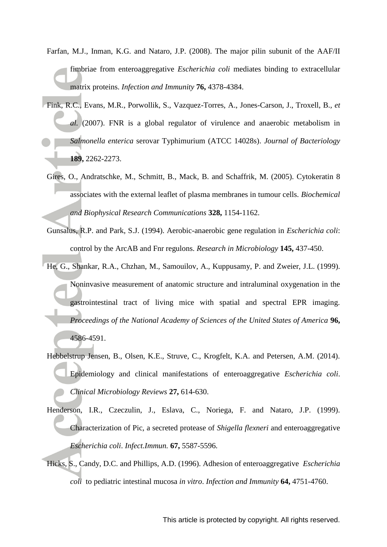- Farfan, M.J., Inman, K.G. and Nataro, J.P. (2008). The major pilin subunit of the AAF/II fimbriae from enteroaggregative *Escherichia coli* mediates binding to extracellular matrix proteins. *Infection and Immunity* **76,** 4378-4384.
- Fink, R.C., Evans, M.R., Porwollik, S., Vazquez-Torres, A., Jones-Carson, J., Troxell, B.*, et al.* (2007). FNR is a global regulator of virulence and anaerobic metabolism in *Salmonella enterica* serovar Typhimurium (ATCC 14028s). *Journal of Bacteriology* **189,** 2262-2273.
- Gires, O., Andratschke, M., Schmitt, B., Mack, B. and Schaffrik, M. (2005). Cytokeratin 8 associates with the external leaflet of plasma membranes in tumour cells. *Biochemical and Biophysical Research Communications* **328,** 1154-1162.
- Gunsalus, R.P. and Park, S.J. (1994). Aerobic-anaerobic gene regulation in *Escherichia coli*: control by the ArcAB and Fnr regulons. *Research in Microbiology* **145,** 437-450.
- He, G., Shankar, R.A., Chzhan, M., Samouilov, A., Kuppusamy, P. and Zweier, J.L. (1999). Noninvasive measurement of anatomic structure and intraluminal oxygenation in the gastrointestinal tract of living mice with spatial and spectral EPR imaging. *Proceedings of the National Academy of Sciences of the United States of America* **96,** 4586-4591.
- Hebbelstrup Jensen, B., Olsen, K.E., Struve, C., Krogfelt, K.A. and Petersen, A.M. (2014). Epidemiology and clinical manifestations of enteroaggregative *Escherichia coli*. *Clinical Microbiology Reviews* **27,** 614-630.
- Henderson, I.R., Czeczulin, J., Eslava, C., Noriega, F. and Nataro, J.P. (1999). Characterization of Pic, a secreted protease of *Shigella flexneri* and enteroaggregative *Escherichia coli*. *Infect.Immun.* **67,** 5587-5596.
- Hicks, S., Candy, D.C. and Phillips, A.D. (1996). Adhesion of enteroaggregative *Escherichia coli* to pediatric intestinal mucosa *in vitro*. *Infection and Immunity* **64,** 4751-4760.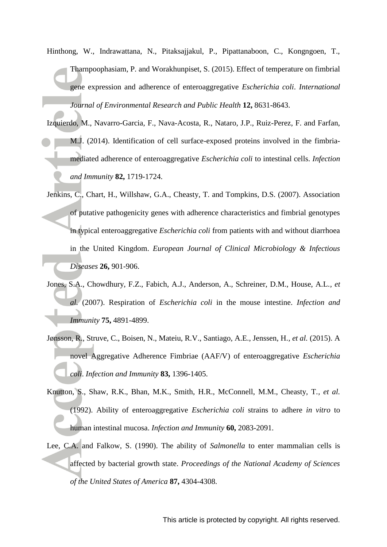- Hinthong, W., Indrawattana, N., Pitaksajjakul, P., Pipattanaboon, C., Kongngoen, T., Tharnpoophasiam, P. and Worakhunpiset, S. (2015). Effect of temperature on fimbrial gene expression and adherence of enteroaggregative *Escherichia coli*. *International Journal of Environmental Research and Public Health* **12,** 8631-8643.
- Izquierdo, M., Navarro-Garcia, F., Nava-Acosta, R., Nataro, J.P., Ruiz-Perez, F. and Farfan, M.J. (2014). Identification of cell surface-exposed proteins involved in the fimbriamediated adherence of enteroaggregative *Escherichia coli* to intestinal cells. *Infection and Immunity* **82,** 1719-1724.
- Jenkins, C., Chart, H., Willshaw, G.A., Cheasty, T. and Tompkins, D.S. (2007). Association of putative pathogenicity genes with adherence characteristics and fimbrial genotypes in typical enteroaggregative *Escherichia coli* from patients with and without diarrhoea in the United Kingdom. *European Journal of Clinical Microbiology & Infectious Diseases* **26,** 901-906.
- Jones, S.A., Chowdhury, F.Z., Fabich, A.J., Anderson, A., Schreiner, D.M., House, A.L.*, et al.* (2007). Respiration of *Escherichia coli* in the mouse intestine. *Infection and Immunity* **75,** 4891-4899.
- Jønsson, R., Struve, C., Boisen, N., Mateiu, R.V., Santiago, A.E., Jenssen, H.*, et al.* (2015). A novel Aggregative Adherence Fimbriae (AAF/V) of enteroaggregative *Escherichia coli*. *Infection and Immunity* **83,** 1396-1405.
- Knutton, S., Shaw, R.K., Bhan, M.K., Smith, H.R., McConnell, M.M., Cheasty, T.*, et al.* (1992). Ability of enteroaggregative *Escherichia coli* strains to adhere *in vitro* to human intestinal mucosa. *Infection and Immunity* **60,** 2083-2091.
- Lee, C.A. and Falkow, S. (1990). The ability of *Salmonella* to enter mammalian cells is affected by bacterial growth state. *Proceedings of the National Academy of Sciences of the United States of America* **87,** 4304-4308.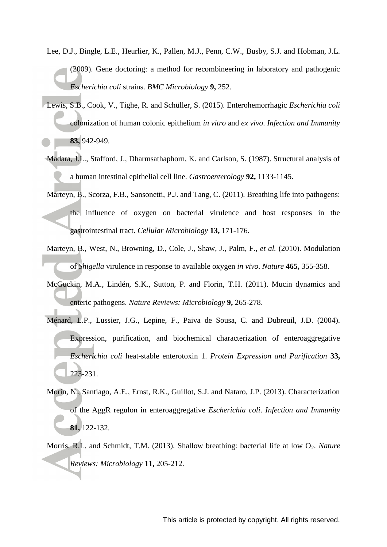- Lee, D.J., Bingle, L.E., Heurlier, K., Pallen, M.J., Penn, C.W., Busby, S.J. and Hobman, J.L. (2009). Gene doctoring: a method for recombineering in laboratory and pathogenic *Escherichia coli* strains. *BMC Microbiology* **9,** 252.
- Lewis, S.B., Cook, V., Tighe, R. and Schüller, S. (2015). Enterohemorrhagic *Escherichia coli* colonization of human colonic epithelium *in vitro* and *ex vivo*. *Infection and Immunity* **83,** 942-949.
- Madara, J.L., Stafford, J., Dharmsathaphorn, K. and Carlson, S. (1987). Structural analysis of a human intestinal epithelial cell line. *Gastroenterology* **92,** 1133-1145.
- Marteyn, B., Scorza, F.B., Sansonetti, P.J. and Tang, C. (2011). Breathing life into pathogens: the influence of oxygen on bacterial virulence and host responses in the gastrointestinal tract. *Cellular Microbiology* **13,** 171-176.
- Marteyn, B., West, N., Browning, D., Cole, J., Shaw, J., Palm, F.*, et al.* (2010). Modulation of *Shigella* virulence in response to available oxygen *in vivo*. *Nature* **465,** 355-358.
- McGuckin, M.A., Lindén, S.K., Sutton, P. and Florin, T.H. (2011). Mucin dynamics and enteric pathogens. *Nature Reviews: Microbiology* **9,** 265-278.
- Ménard, L.P., Lussier, J.G., Lepine, F., Paiva de Sousa, C. and Dubreuil, J.D. (2004). Expression, purification, and biochemical characterization of enteroaggregative *Escherichia coli* heat-stable enterotoxin 1. *Protein Expression and Purification* **33,** 223-231.
- Morin, N., Santiago, A.E., Ernst, R.K., Guillot, S.J. and Nataro, J.P. (2013). Characterization of the AggR regulon in enteroaggregative *Escherichia coli*. *Infection and Immunity* **81,** 122-132.
- Morris, R.L. and Schmidt, T.M. (2013). Shallow breathing: bacterial life at low O<sub>2</sub>. *Nature Reviews: Microbiology* **11,** 205-212.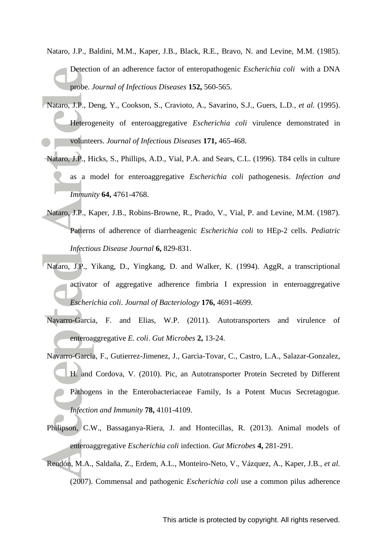- Nataro, J.P., Baldini, M.M., Kaper, J.B., Black, R.E., Bravo, N. and Levine, M.M. (1985). Detection of an adherence factor of enteropathogenic *Escherichia coli* with a DNA probe. *Journal of Infectious Diseases* **152,** 560-565.
- Nataro, J.P., Deng, Y., Cookson, S., Cravioto, A., Savarino, S.J., Guers, L.D.*, et al.* (1995). Heterogeneity of enteroaggregative *Escherichia coli* virulence demonstrated in volunteers. *Journal of Infectious Diseases* **171,** 465-468.
- Nataro, J.P., Hicks, S., Phillips, A.D., Vial, P.A. and Sears, C.L. (1996). T84 cells in culture as a model for enteroaggregative *Escherichia coli* pathogenesis. *Infection and Immunity* **64,** 4761-4768.
- Nataro, J.P., Kaper, J.B., Robins-Browne, R., Prado, V., Vial, P. and Levine, M.M. (1987). Patterns of adherence of diarrheagenic *Escherichia coli* to HEp-2 cells. *Pediatric Infectious Disease Journal* **6,** 829-831.
- Nataro, J.P., Yikang, D., Yingkang, D. and Walker, K. (1994). AggR, a transcriptional activator of aggregative adherence fimbria I expression in enteroaggregative *Escherichia coli*. *Journal of Bacteriology* **176,** 4691-4699.
- Navarro-Garcia, F. and Elias, W.P. (2011). Autotransporters and virulence of enteroaggregative *E. coli*. *Gut Microbes* **2,** 13-24.
- Navarro-Garcia, F., Gutierrez-Jimenez, J., Garcia-Tovar, C., Castro, L.A., Salazar-Gonzalez, H. and Cordova, V. (2010). Pic, an Autotransporter Protein Secreted by Different Pathogens in the Enterobacteriaceae Family, Is a Potent Mucus Secretagogue. *Infection and Immunity* **78,** 4101-4109.
- Philipson, C.W., Bassaganya-Riera, J. and Hontecillas, R. (2013). Animal models of enteroaggregative *Escherichia coli* infection. *Gut Microbes* **4,** 281-291.
- Rendón, M.A., Saldaña, Z., Erdem, A.L., Monteiro-Neto, V., Vázquez, A., Kaper, J.B.*, et al.* (2007). Commensal and pathogenic *Escherichia coli* use a common pilus adherence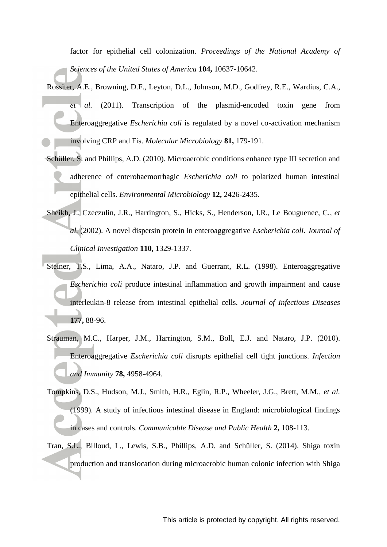factor for epithelial cell colonization. *Proceedings of the National Academy of Sciences of the United States of America* **104,** 10637-10642.

- Rossiter, A.E., Browning, D.F., Leyton, D.L., Johnson, M.D., Godfrey, R.E., Wardius, C.A.*, et al.* (2011). Transcription of the plasmid-encoded toxin gene from Enteroaggregative *Escherichia coli* is regulated by a novel co-activation mechanism involving CRP and Fis. *Molecular Microbiology* **81,** 179-191.
- Schüller, S. and Phillips, A.D. (2010). Microaerobic conditions enhance type III secretion and adherence of enterohaemorrhagic *Escherichia coli* to polarized human intestinal epithelial cells. *Environmental Microbiology* **12,** 2426-2435.
- Sheikh, J., Czeczulin, J.R., Harrington, S., Hicks, S., Henderson, I.R., Le Bouguenec, C.*, et al.* (2002). A novel dispersin protein in enteroaggregative *Escherichia coli*. *Journal of Clinical Investigation* **110,** 1329-1337.
- Steiner, T.S., Lima, A.A., Nataro, J.P. and Guerrant, R.L. (1998). Enteroaggregative *Escherichia coli* produce intestinal inflammation and growth impairment and cause interleukin-8 release from intestinal epithelial cells. *Journal of Infectious Diseases* **177,** 88-96.
- Strauman, M.C., Harper, J.M., Harrington, S.M., Boll, E.J. and Nataro, J.P. (2010). Enteroaggregative *Escherichia coli* disrupts epithelial cell tight junctions. *Infection and Immunity* **78,** 4958-4964.
- Tompkins, D.S., Hudson, M.J., Smith, H.R., Eglin, R.P., Wheeler, J.G., Brett, M.M.*, et al.* (1999). A study of infectious intestinal disease in England: microbiological findings in cases and controls. *Communicable Disease and Public Health* **2,** 108-113.
- Tran, S.L., Billoud, L., Lewis, S.B., Phillips, A.D. and Schüller, S. (2014). Shiga toxin production and translocation during microaerobic human colonic infection with Shiga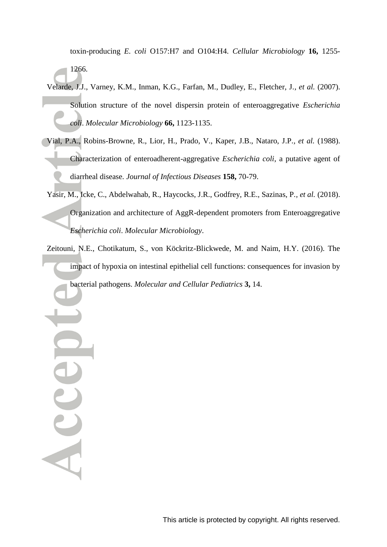toxin-producing *E. coli* O157:H7 and O104:H4. *Cellular Microbiology* **16,** 1255- 1266.

- Velarde, J.J., Varney, K.M., Inman, K.G., Farfan, M., Dudley, E., Fletcher, J.*, et al.* (2007). Solution structure of the novel dispersin protein of enteroaggregative *Escherichia coli*. *Molecular Microbiology* **66,** 1123-1135.
- Vial, P.A., Robins-Browne, R., Lior, H., Prado, V., Kaper, J.B., Nataro, J.P.*, et al.* (1988). Characterization of enteroadherent-aggregative *Escherichia coli*, a putative agent of diarrheal disease. *Journal of Infectious Diseases* **158,** 70-79.
- Yasir, M., Icke, C., Abdelwahab, R., Haycocks, J.R., Godfrey, R.E., Sazinas, P.*, et al.* (2018). Organization and architecture of AggR-dependent promoters from Enteroaggregative *Escherichia coli*. *Molecular Microbiology*.
- Zeitouni, N.E., Chotikatum, S., von Köckritz-Blickwede, M. and Naim, H.Y. (2016). The impact of hypoxia on intestinal epithelial cell functions: consequences for invasion by bacterial pathogens. *Molecular and Cellular Pediatrics* **3,** 14.

Acce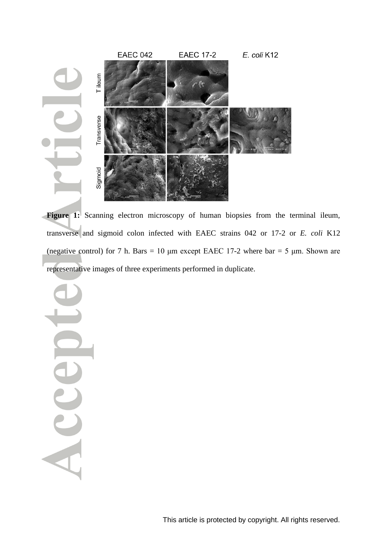

Figure 1: Scanning electron microscopy of human biopsies from the terminal ileum, transverse and sigmoid colon infected with EAEC strains 042 or 17-2 or *E. coli* K12 (negative control) for 7 h. Bars = 10  $\mu$ m except EAEC 17-2 where bar = 5  $\mu$ m. Shown are representative images of three experiments performed in duplicate.

Acc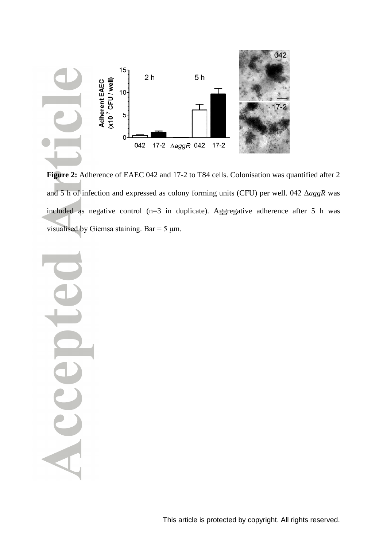

**Figure 2:** Adherence of EAEC 042 and 17-2 to T84 cells. Colonisation was quantified after 2 and 5 h of infection and expressed as colony forming units (CFU) per well. 042 Δ*aggR* was included as negative control (n=3 in duplicate). Aggregative adherence after 5 h was visualised by Giemsa staining. Bar =  $5 \mu$ m.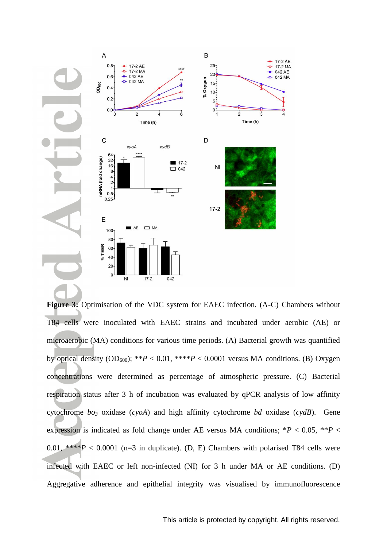

**Figure 3:** Optimisation of the VDC system for EAEC infection. (A-C) Chambers without T84 cells were inoculated with EAEC strains and incubated under aerobic (AE) or microaerobic (MA) conditions for various time periods. (A) Bacterial growth was quantified by optical density  $OD_{600}$ ; \*\**P* < 0.01, \*\*\*\**P* < 0.0001 versus MA conditions. (B) Oxygen concentrations were determined as percentage of atmospheric pressure. (C) Bacterial respiration status after 3 h of incubation was evaluated by qPCR analysis of low affinity cytochrome *bo<sup>3</sup>* oxidase (*cyoA*) and high affinity cytochrome *bd* oxidase (*cydB*). Gene expression is indicated as fold change under AE versus MA conditions;  $*P < 0.05$ ,  $*P <$ 0.01, \*\*\*\**P* < 0.0001 (n=3 in duplicate). (D, E) Chambers with polarised T84 cells were infected with EAEC or left non-infected (NI) for 3 h under MA or AE conditions. (D) Aggregative adherence and epithelial integrity was visualised by immunofluorescence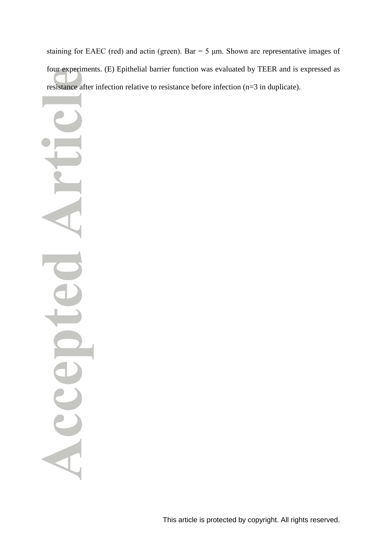staining for EAEC (red) and actin (green). Bar =  $5 \mu$ m. Shown are representative images of four experiments. (E) Epithelial barrier function was evaluated by TEER and is expressed as resistance after infection relative to resistance before infection (n=3 in duplicate).

Acc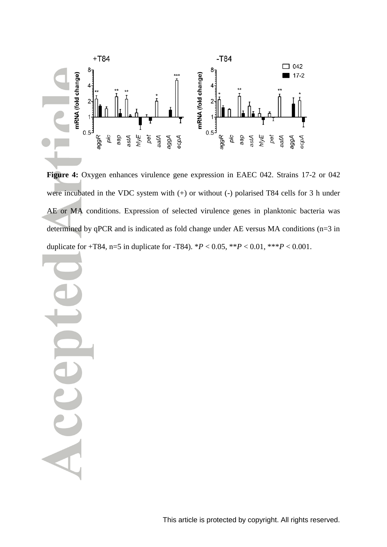

**Figure 4:** Oxygen enhances virulence gene expression in EAEC 042. Strains 17-2 or 042 were incubated in the VDC system with (+) or without (-) polarised T84 cells for 3 h under AE or MA conditions. Expression of selected virulence genes in planktonic bacteria was determined by qPCR and is indicated as fold change under AE versus MA conditions (n=3 in duplicate for  $+T84$ , n=5 in duplicate for  $-T84$ ).  $*P < 0.05$ ,  $*P < 0.01$ ,  $*+P < 0.001$ .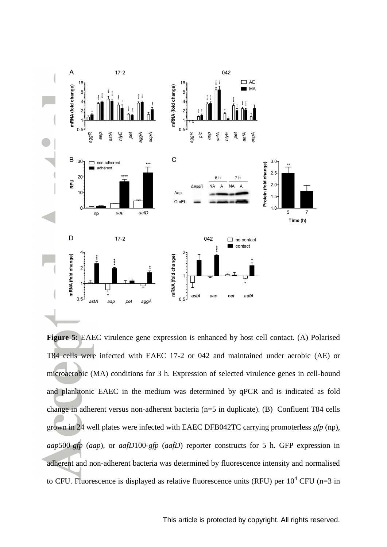

**Figure 5:** EAEC virulence gene expression is enhanced by host cell contact. (A) Polarised T84 cells were infected with EAEC 17-2 or 042 and maintained under aerobic (AE) or microaerobic (MA) conditions for 3 h. Expression of selected virulence genes in cell-bound and planktonic EAEC in the medium was determined by qPCR and is indicated as fold change in adherent versus non-adherent bacteria (n=5 in duplicate). (B) Confluent T84 cells grown in 24 well plates were infected with EAEC DFB042TC carrying promoterless *gfp* (np), *aap*500-*gfp* (*aap*), or *aafD*100-*gfp* (*aafD*) reporter constructs for 5 h. GFP expression in adherent and non-adherent bacteria was determined by fluorescence intensity and normalised to CFU. Fluorescence is displayed as relative fluorescence units (RFU) per  $10^4$  CFU (n=3 in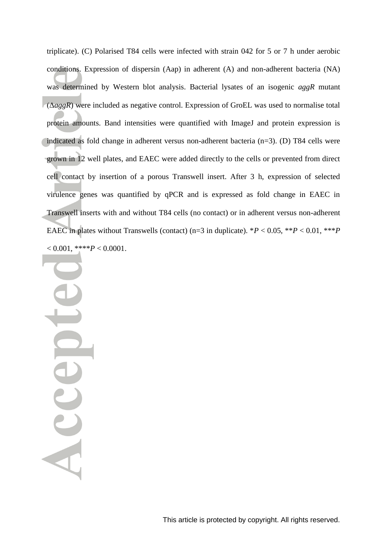triplicate). (C) Polarised T84 cells were infected with strain 042 for 5 or 7 h under aerobic conditions. Expression of dispersin (Aap) in adherent (A) and non-adherent bacteria (NA) was determined by Western blot analysis. Bacterial lysates of an isogenic *aggR* mutant (Δ*aggR*) were included as negative control. Expression of GroEL was used to normalise total protein amounts. Band intensities were quantified with ImageJ and protein expression is indicated as fold change in adherent versus non-adherent bacteria (n=3). (D) T84 cells were grown in 12 well plates, and EAEC were added directly to the cells or prevented from direct cell contact by insertion of a porous Transwell insert. After 3 h, expression of selected virulence genes was quantified by qPCR and is expressed as fold change in EAEC in Transwell inserts with and without T84 cells (no contact) or in adherent versus non-adherent EAEC in plates without Transwells (contact) (n=3 in duplicate).  $*P < 0.05$ ,  $*P < 0.01$ ,  $**P$  $< 0.001$ , \*\*\*\* $P < 0.0001$ .

Sccep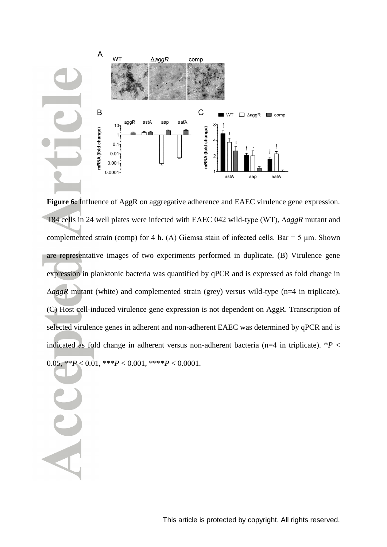

**Figure 6:** Influence of AggR on aggregative adherence and EAEC virulence gene expression. T84 cells in 24 well plates were infected with EAEC 042 wild-type (WT), Δ*aggR* mutant and complemented strain (comp) for 4 h. (A) Giemsa stain of infected cells. Bar = 5  $\mu$ m. Shown are representative images of two experiments performed in duplicate. (B) Virulence gene expression in planktonic bacteria was quantified by qPCR and is expressed as fold change in Δ*aggR* mutant (white) and complemented strain (grey) versus wild-type (n=4 in triplicate). (C) Host cell-induced virulence gene expression is not dependent on AggR. Transcription of selected virulence genes in adherent and non-adherent EAEC was determined by qPCR and is indicated as fold change in adherent versus non-adherent bacteria (n=4 in triplicate). \**P* < 0.05,  $*$ <sup>\*</sup>*P* < 0.01,  $*$ <sup>\*</sup>*P* < 0.001,  $*$ <sup>\*</sup>*\*P* < 0.0001.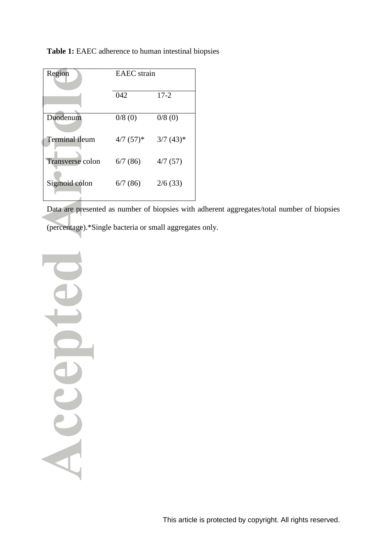| Region           | <b>EAEC</b> strain      |                         |
|------------------|-------------------------|-------------------------|
|                  | 042                     | $17 - 2$                |
| Duodenum         | 0/8(0)                  | 0/8(0)                  |
| Terminal ileum   | $4/7$ (57) <sup>*</sup> | $3/7$ (43) <sup>*</sup> |
| Transverse colon | 6/7(86)                 | 4/7(57)                 |
| Sigmoid colon    | 6/7(86)                 | 2/6(33)                 |

**Table 1:** EAEC adherence to human intestinal biopsies

Data are presented as number of biopsies with adherent aggregates/total number of biopsies (percentage).\*Single bacteria or small aggregates only.

Accepter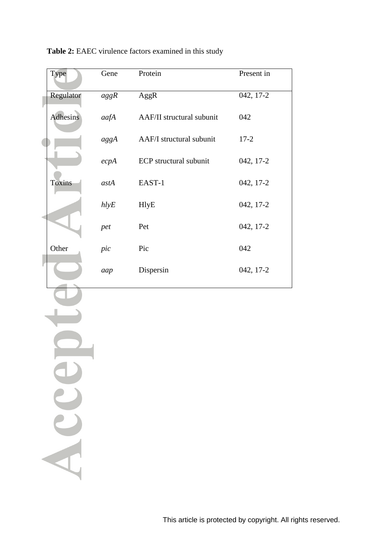|  | Type          | Gene | Protein                   | Present in  |
|--|---------------|------|---------------------------|-------------|
|  | Regulator     | aggR | AggR                      | $042, 17-2$ |
|  | Adhesins      | aafA | AAF/II structural subunit | 042         |
|  |               | aggA | AAF/I structural subunit  | $17 - 2$    |
|  |               | ecpA | ECP structural subunit    | 042, 17-2   |
|  | <b>Toxins</b> | astA | EAST-1                    | 042, 17-2   |
|  |               | hlyE | <b>HlyE</b>               | 042, 17-2   |
|  |               | pet  | Pet                       | 042, 17-2   |
|  | Other         | pic  | Pic                       | 042         |
|  |               | aap  | Dispersin                 | 042, 17-2   |
|  |               |      |                           |             |
|  |               |      |                           |             |
|  |               |      |                           |             |
|  |               |      |                           |             |
|  |               |      |                           |             |
|  | U             |      |                           |             |
|  |               |      |                           |             |
|  |               |      |                           |             |
|  |               |      |                           |             |

**Table 2:** EAEC virulence factors examined in this study